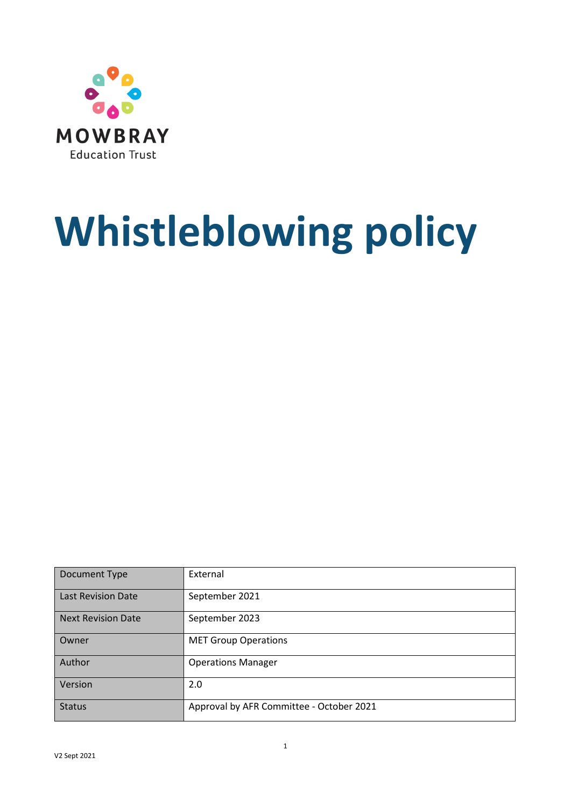

# **Whistleblowing policy**

| Document Type             | External                                 |
|---------------------------|------------------------------------------|
| <b>Last Revision Date</b> | September 2021                           |
| <b>Next Revision Date</b> | September 2023                           |
| Owner                     | <b>MET Group Operations</b>              |
| Author                    | <b>Operations Manager</b>                |
| Version                   | 2.0                                      |
| <b>Status</b>             | Approval by AFR Committee - October 2021 |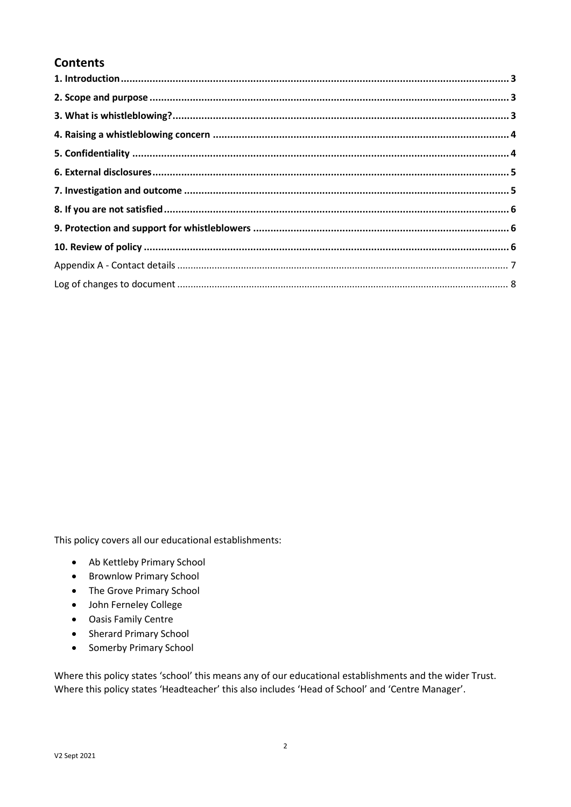#### **Contents**

This policy covers all our educational establishments:

- Ab Kettleby Primary School
- Brownlow Primary School
- The Grove Primary School
- John Ferneley College
- Oasis Family Centre
- Sherard Primary School
- Somerby Primary School

Where this policy states 'school' this means any of our educational establishments and the wider Trust. Where this policy states 'Headteacher' this also includes 'Head of School' and 'Centre Manager'.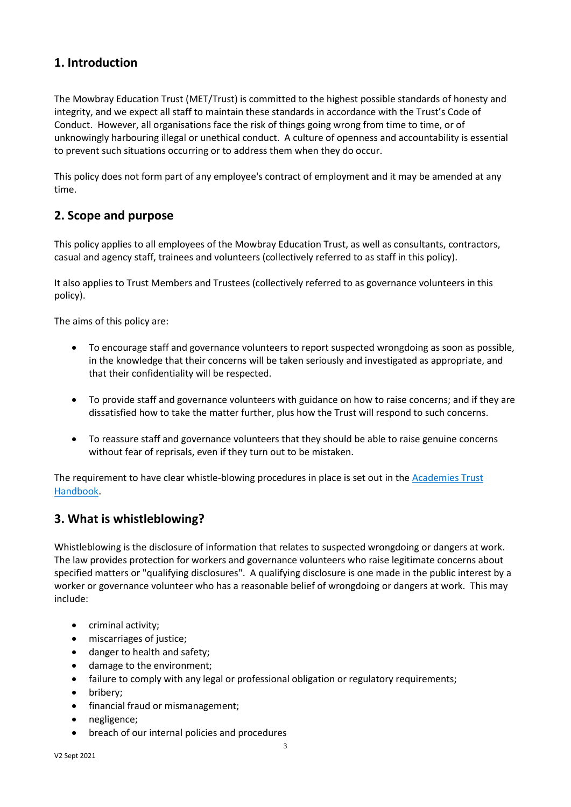#### **1. Introduction**

The Mowbray Education Trust (MET/Trust) is committed to the highest possible standards of honesty and integrity, and we expect all staff to maintain these standards in accordance with the Trust's Code of Conduct. However, all organisations face the risk of things going wrong from time to time, or of unknowingly harbouring illegal or unethical conduct. A culture of openness and accountability is essential to prevent such situations occurring or to address them when they do occur.

This policy does not form part of any employee's contract of employment and it may be amended at any time.

#### **2. Scope and purpose**

This policy applies to all employees of the Mowbray Education Trust, as well as consultants, contractors, casual and agency staff, trainees and volunteers (collectively referred to as staff in this policy).

It also applies to Trust Members and Trustees (collectively referred to as governance volunteers in this policy).

The aims of this policy are:

- To encourage staff and governance volunteers to report suspected wrongdoing as soon as possible, in the knowledge that their concerns will be taken seriously and investigated as appropriate, and that their confidentiality will be respected.
- To provide staff and governance volunteers with guidance on how to raise concerns; and if they are dissatisfied how to take the matter further, plus how the Trust will respond to such concerns.
- To reassure staff and governance volunteers that they should be able to raise genuine concerns without fear of reprisals, even if they turn out to be mistaken.

The requirement to have clear whistle-blowing procedures in place is set out in the [Academies Trust](https://www.gov.uk/government/publications/academies-financial-handbook)  [Handbook.](https://www.gov.uk/government/publications/academies-financial-handbook)

#### **3. What is whistleblowing?**

Whistleblowing is the disclosure of information that relates to suspected wrongdoing or dangers at work. The law provides protection for workers and governance volunteers who raise legitimate concerns about specified matters or "qualifying disclosures". A qualifying disclosure is one made in the public interest by a worker or governance volunteer who has a reasonable belief of wrongdoing or dangers at work. This may include:

- criminal activity;
- miscarriages of justice;
- danger to health and safety;
- damage to the environment;
- failure to comply with any legal or professional obligation or regulatory requirements;
- bribery;
- financial fraud or mismanagement;
- negligence;
- breach of our internal policies and procedures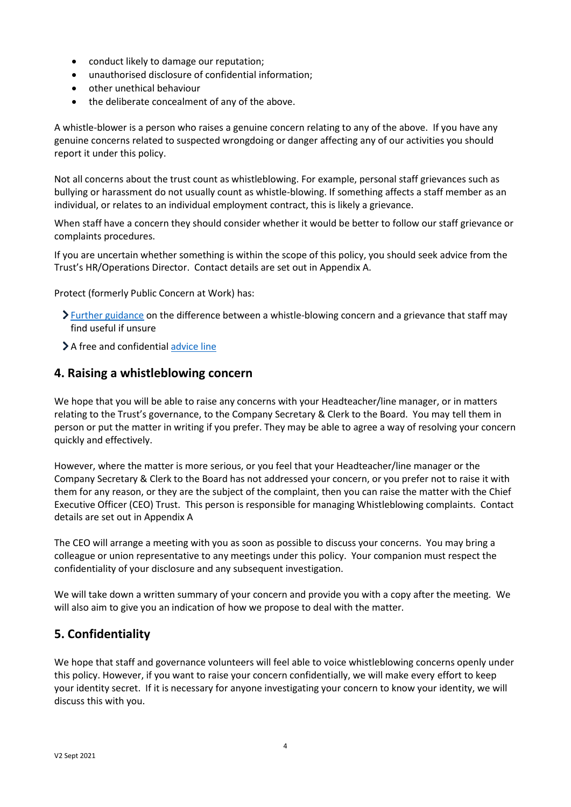- conduct likely to damage our reputation;
- unauthorised disclosure of confidential information;
- other unethical behaviour
- the deliberate concealment of any of the above.

A whistle-blower is a person who raises a genuine concern relating to any of the above. If you have any genuine concerns related to suspected wrongdoing or danger affecting any of our activities you should report it under this policy.

Not all concerns about the trust count as whistleblowing. For example, personal staff grievances such as bullying or harassment do not usually count as whistle-blowing. If something affects a staff member as an individual, or relates to an individual employment contract, this is likely a grievance.

When staff have a concern they should consider whether it would be better to follow our staff grievance or complaints procedures.

If you are uncertain whether something is within the scope of this policy, you should seek advice from the Trust's HR/Operations Director. Contact details are set out in Appendix A.

Protect (formerly Public Concern at Work) has:

- $\sum$  [Further guidance](https://protect-advice.org.uk/what-is-the-difference-between-raising-a-grievance-and-whistleblowing/) on the difference between a whistle-blowing concern and a grievance that staff may find useful if unsure
- > A free and confidential [advice line](https://www.pcaw.org.uk/advice-line/)

#### **4. Raising a whistleblowing concern**

We hope that you will be able to raise any concerns with your Headteacher/line manager, or in matters relating to the Trust's governance, to the Company Secretary & Clerk to the Board. You may tell them in person or put the matter in writing if you prefer. They may be able to agree a way of resolving your concern quickly and effectively.

However, where the matter is more serious, or you feel that your Headteacher/line manager or the Company Secretary & Clerk to the Board has not addressed your concern, or you prefer not to raise it with them for any reason, or they are the subject of the complaint, then you can raise the matter with the Chief Executive Officer (CEO) Trust. This person is responsible for managing Whistleblowing complaints. Contact details are set out in Appendix A

The CEO will arrange a meeting with you as soon as possible to discuss your concerns. You may bring a colleague or union representative to any meetings under this policy. Your companion must respect the confidentiality of your disclosure and any subsequent investigation.

We will take down a written summary of your concern and provide you with a copy after the meeting. We will also aim to give you an indication of how we propose to deal with the matter.

#### **5. Confidentiality**

We hope that staff and governance volunteers will feel able to voice whistleblowing concerns openly under this policy. However, if you want to raise your concern confidentially, we will make every effort to keep your identity secret. If it is necessary for anyone investigating your concern to know your identity, we will discuss this with you.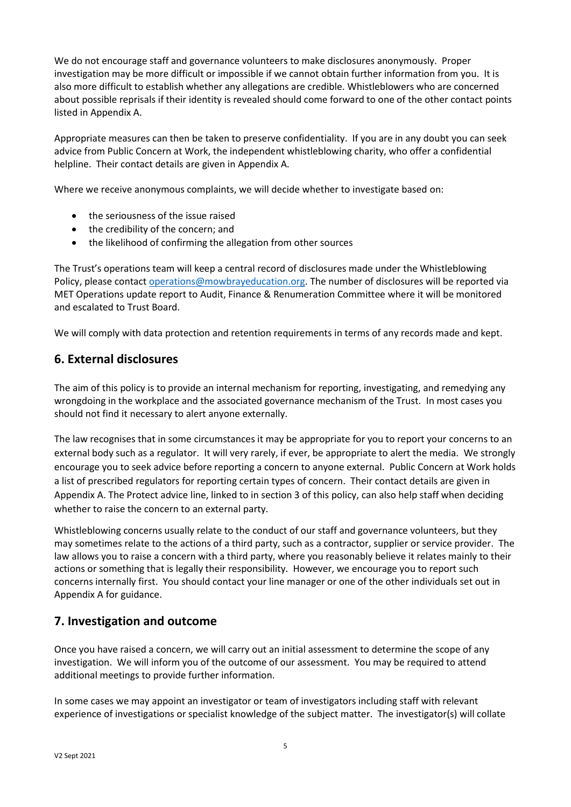We do not encourage staff and governance volunteers to make disclosures anonymously. Proper investigation may be more difficult or impossible if we cannot obtain further information from you. It is also more difficult to establish whether any allegations are credible. Whistleblowers who are concerned about possible reprisals if their identity is revealed should come forward to one of the other contact points listed in Appendix A.

Appropriate measures can then be taken to preserve confidentiality. If you are in any doubt you can seek advice from Public Concern at Work, the independent whistleblowing charity, who offer a confidential helpline. Their contact details are given in Appendix A.

Where we receive anonymous complaints, we will decide whether to investigate based on:

- the seriousness of the issue raised
- the credibility of the concern; and
- the likelihood of confirming the allegation from other sources

The Trust's operations team will keep a central record of disclosures made under the Whistleblowing Policy, please contact [operations@mowbrayeducation.org.](mailto:operations@mowbrayeducation.org) The number of disclosures will be reported via MET Operations update report to Audit, Finance & Renumeration Committee where it will be monitored and escalated to Trust Board.

We will comply with data protection and retention requirements in terms of any records made and kept.

#### **6. External disclosures**

The aim of this policy is to provide an internal mechanism for reporting, investigating, and remedying any wrongdoing in the workplace and the associated governance mechanism of the Trust. In most cases you should not find it necessary to alert anyone externally.

The law recognises that in some circumstances it may be appropriate for you to report your concerns to an external body such as a regulator. It will very rarely, if ever, be appropriate to alert the media. We strongly encourage you to seek advice before reporting a concern to anyone external. Public Concern at Work holds a list of prescribed regulators for reporting certain types of concern. Their contact details are given in Appendix A. The Protect advice line, linked to in section 3 of this policy, can also help staff when deciding whether to raise the concern to an external party.

Whistleblowing concerns usually relate to the conduct of our staff and governance volunteers, but they may sometimes relate to the actions of a third party, such as a contractor, supplier or service provider. The law allows you to raise a concern with a third party, where you reasonably believe it relates mainly to their actions or something that is legally their responsibility. However, we encourage you to report such concerns internally first. You should contact your line manager or one of the other individuals set out in Appendix A for guidance.

#### **7. Investigation and outcome**

Once you have raised a concern, we will carry out an initial assessment to determine the scope of any investigation. We will inform you of the outcome of our assessment. You may be required to attend additional meetings to provide further information.

In some cases we may appoint an investigator or team of investigators including staff with relevant experience of investigations or specialist knowledge of the subject matter. The investigator(s) will collate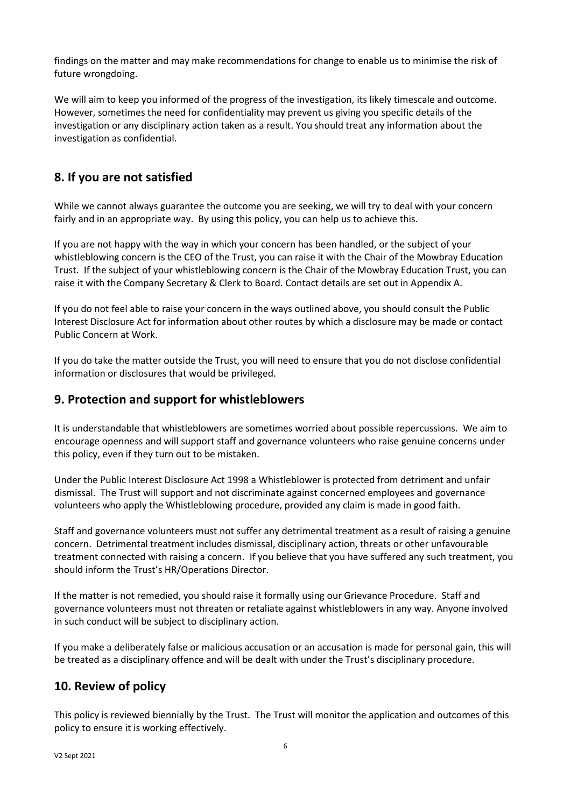findings on the matter and may make recommendations for change to enable us to minimise the risk of future wrongdoing.

We will aim to keep you informed of the progress of the investigation, its likely timescale and outcome. However, sometimes the need for confidentiality may prevent us giving you specific details of the investigation or any disciplinary action taken as a result. You should treat any information about the investigation as confidential.

### **8. If you are not satisfied**

While we cannot always guarantee the outcome you are seeking, we will try to deal with your concern fairly and in an appropriate way. By using this policy, you can help us to achieve this.

If you are not happy with the way in which your concern has been handled, or the subject of your whistleblowing concern is the CEO of the Trust, you can raise it with the Chair of the Mowbray Education Trust. If the subject of your whistleblowing concern is the Chair of the Mowbray Education Trust, you can raise it with the Company Secretary & Clerk to Board. Contact details are set out in Appendix A.

If you do not feel able to raise your concern in the ways outlined above, you should consult the Public Interest Disclosure Act for information about other routes by which a disclosure may be made or contact Public Concern at Work.

If you do take the matter outside the Trust, you will need to ensure that you do not disclose confidential information or disclosures that would be privileged.

#### **9. Protection and support for whistleblowers**

It is understandable that whistleblowers are sometimes worried about possible repercussions. We aim to encourage openness and will support staff and governance volunteers who raise genuine concerns under this policy, even if they turn out to be mistaken.

Under the Public Interest Disclosure Act 1998 a Whistleblower is protected from detriment and unfair dismissal. The Trust will support and not discriminate against concerned employees and governance volunteers who apply the Whistleblowing procedure, provided any claim is made in good faith.

Staff and governance volunteers must not suffer any detrimental treatment as a result of raising a genuine concern. Detrimental treatment includes dismissal, disciplinary action, threats or other unfavourable treatment connected with raising a concern. If you believe that you have suffered any such treatment, you should inform the Trust's HR/Operations Director.

If the matter is not remedied, you should raise it formally using our Grievance Procedure. Staff and governance volunteers must not threaten or retaliate against whistleblowers in any way. Anyone involved in such conduct will be subject to disciplinary action.

If you make a deliberately false or malicious accusation or an accusation is made for personal gain, this will be treated as a disciplinary offence and will be dealt with under the Trust's disciplinary procedure.

#### **10. Review of policy**

This policy is reviewed biennially by the Trust. The Trust will monitor the application and outcomes of this policy to ensure it is working effectively.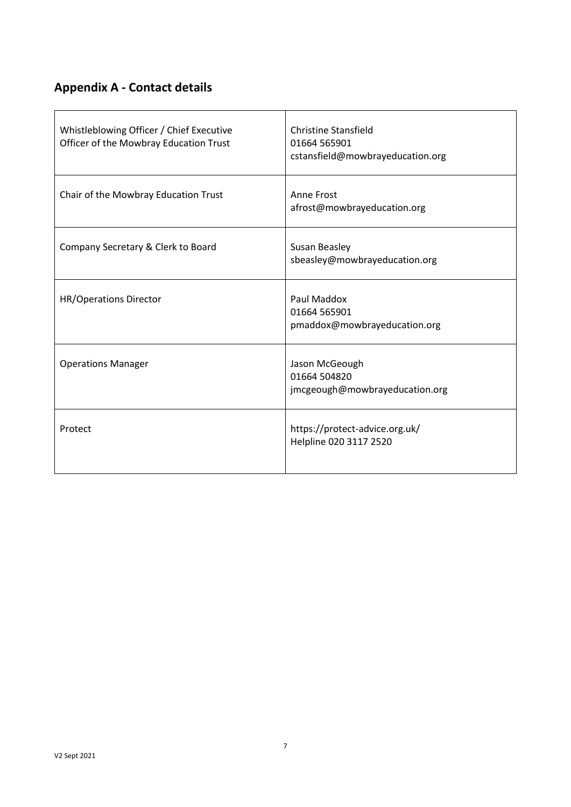## **Appendix A - Contact details**

| Whistleblowing Officer / Chief Executive<br>Officer of the Mowbray Education Trust | <b>Christine Stansfield</b><br>01664 565901<br>cstansfield@mowbrayeducation.org |  |
|------------------------------------------------------------------------------------|---------------------------------------------------------------------------------|--|
| Chair of the Mowbray Education Trust                                               | Anne Frost<br>afrost@mowbrayeducation.org                                       |  |
| Company Secretary & Clerk to Board                                                 | Susan Beasley<br>sbeasley@mowbrayeducation.org                                  |  |
| <b>HR/Operations Director</b>                                                      | Paul Maddox<br>01664 565901<br>pmaddox@mowbrayeducation.org                     |  |
| <b>Operations Manager</b>                                                          | Jason McGeough<br>01664 504820<br>jmcgeough@mowbrayeducation.org                |  |
| Protect                                                                            | https://protect-advice.org.uk/<br>Helpline 020 3117 2520                        |  |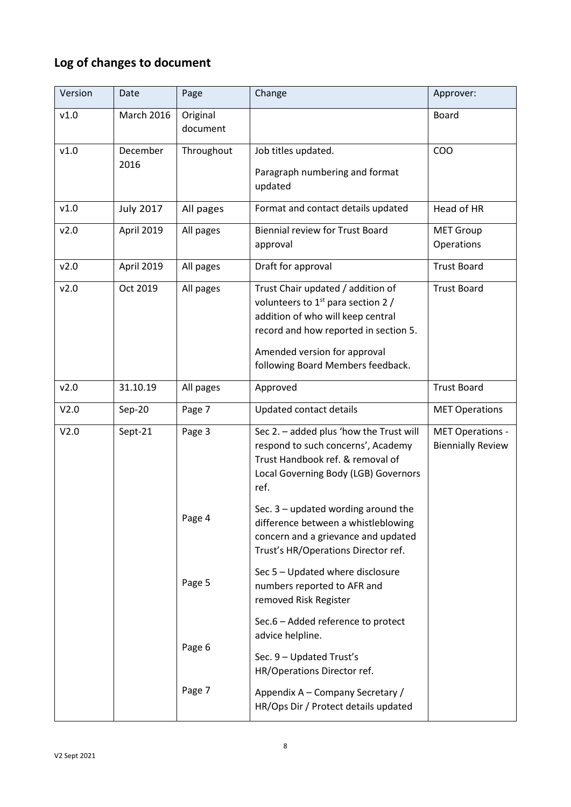## **Log of changes to document**

| Version | Date              | Page                                      | Change                                                                                                                                                                                                                       | Approver:                                    |
|---------|-------------------|-------------------------------------------|------------------------------------------------------------------------------------------------------------------------------------------------------------------------------------------------------------------------------|----------------------------------------------|
| v1.0    | <b>March 2016</b> | Original<br>document                      |                                                                                                                                                                                                                              | <b>Board</b>                                 |
| v1.0    | December          | Throughout                                | Job titles updated.                                                                                                                                                                                                          | COO                                          |
| 2016    |                   | Paragraph numbering and format<br>updated |                                                                                                                                                                                                                              |                                              |
| v1.0    | <b>July 2017</b>  | All pages                                 | Format and contact details updated                                                                                                                                                                                           | Head of HR                                   |
| v2.0    | April 2019        | All pages                                 | <b>Biennial review for Trust Board</b><br>approval                                                                                                                                                                           | <b>MET Group</b><br>Operations               |
| v2.0    | April 2019        | All pages                                 | Draft for approval                                                                                                                                                                                                           | <b>Trust Board</b>                           |
| v2.0    | Oct 2019          | All pages                                 | Trust Chair updated / addition of<br>volunteers to $1st$ para section 2 /<br>addition of who will keep central<br>record and how reported in section 5.<br>Amended version for approval<br>following Board Members feedback. | <b>Trust Board</b>                           |
| v2.0    | 31.10.19          | All pages                                 | Approved                                                                                                                                                                                                                     | <b>Trust Board</b>                           |
| V2.0    | Sep-20            | Page 7                                    | Updated contact details                                                                                                                                                                                                      | <b>MET Operations</b>                        |
| V2.0    | Sept-21           | Page 3                                    | Sec 2. - added plus 'how the Trust will<br>respond to such concerns', Academy<br>Trust Handbook ref. & removal of<br>Local Governing Body (LGB) Governors<br>ref.                                                            | MET Operations -<br><b>Biennially Review</b> |
|         |                   | Page 4                                    | Sec. $3$ – updated wording around the<br>difference between a whistleblowing<br>concern and a grievance and updated<br>Trust's HR/Operations Director ref.                                                                   |                                              |
|         |                   | Page 5                                    | Sec 5 - Updated where disclosure<br>numbers reported to AFR and<br>removed Risk Register                                                                                                                                     |                                              |
|         |                   | Page 6                                    | Sec.6 - Added reference to protect<br>advice helpline.<br>Sec. 9 - Updated Trust's<br>HR/Operations Director ref.                                                                                                            |                                              |
|         |                   | Page 7                                    | Appendix A – Company Secretary /<br>HR/Ops Dir / Protect details updated                                                                                                                                                     |                                              |